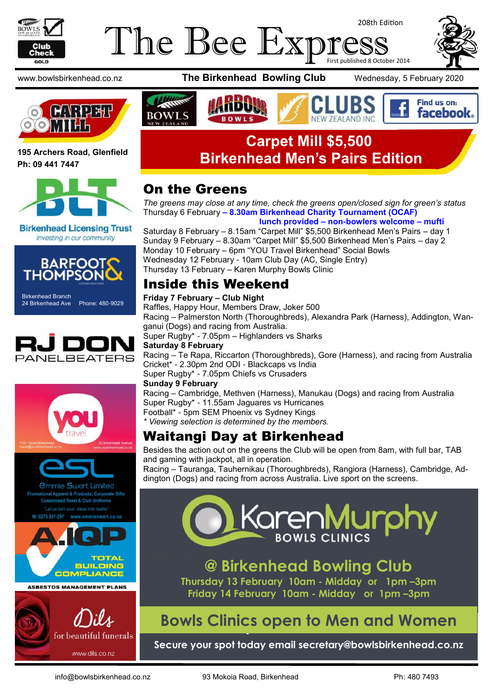

#### The Bee Exp 208th Edition First published 8 October 2014





**195 Archers Road, Glenfield Ph: 09 441 7447**



**Birkenhead Licensing Trust** Investing in our community



Birkenhead Branch 24 Birkenhead Ave Phone: 480-9029







**ASBESTOS MANAGEMENT PLANS** 



www.bowlsbirkenhead.co.nz **The Birkenhead Bowling Club** Wednesday, 5 February 2020



#### Find us on: **facebook NEW ZEALAND INC**

### **Carpet Mill \$5,500 Birkenhead Men's Pairs Edition**

#### On the Greens

*The greens may close at any time, check the greens open/closed sign for green's status* Thursday 6 February **– 8.30am Birkenhead Charity Tournament (OCAF)**

 **lunch provided – non-bowlers welcome – mufti**

Saturday 8 February – 8.15am "Carpet Mill" \$5,500 Birkenhead Men's Pairs – day 1 Sunday 9 February – 8.30am "Carpet Mill" \$5,500 Birkenhead Men's Pairs – day 2 Monday 10 February – 6pm "YOU Travel Birkenhead" Social Bowls Wednesday 12 February - 10am Club Day (AC, Single Entry) Thursday 13 February – Karen Murphy Bowls Clinic

### Inside this Weekend

#### **Friday 7 February – Club Night**

Raffles, Happy Hour, Members Draw, Joker 500 Racing – Palmerston North (Thoroughbreds), Alexandra Park (Harness), Addington, Wanganui (Dogs) and racing from Australia. Super Rugby\* - 7.05pm – Highlanders vs Sharks

#### **Saturday 8 February**

Racing – Te Rapa, Riccarton (Thoroughbreds), Gore (Harness), and racing from Australia Cricket\* - 2.30pm 2nd ODI - Blackcaps vs India Super Rugby\* - 7.05pm Chiefs vs Crusaders

#### **Sunday 9 February**

Racing – Cambridge, Methven (Harness), Manukau (Dogs) and racing from Australia Super Rugby\* - 11.55am Jaguares vs Hurricanes Football\* - 5pm SEM Phoenix vs Sydney Kings

*\* Viewing selection is determined by the members.*

### Waitangi Day at Birkenhead

Besides the action out on the greens the Club will be open from 8am, with full bar, TAB and gaming with jackpot, all in operation.

Racing – Tauranga, Tauhernikau (Thoroughbreds), Rangiora (Harness), Cambridge, Addington (Dogs) and racing from across Australia. Live sport on the screens.



**@ Birkenhead Bowling Club Thursday 13 February 10am - Midday or 1pm –3pm Friday 14 February 10am - Midday or 1pm –3pm**

## **Clinics open to Men and Women Bowls Clinics open to Men and Women**

**Secure your spot today email secretary@bowlsbirkenhead.co.nz**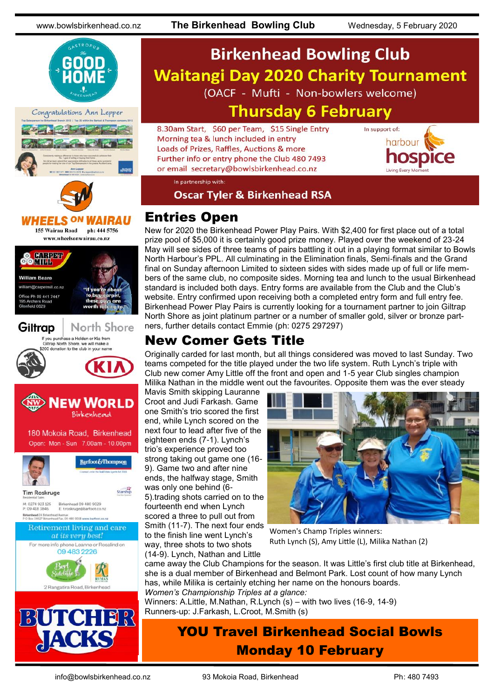





#### *NHEELS ON WAIRAU*

155 Wairau Road ph: 444 5756 www.wheelsonwairau.co.nz







### **Birkenhead Bowling Club Waitangi Day 2020 Charity Tournament** (OACF - Mufti - Non-bowlers welcome) **Thursday 6 February**

8.30am Start, \$60 per Team, \$15 Single Entry Morning tea & lunch included in entry Loads of Prizes, Raffles, Auctions & more Further info or entry phone the Club 480 7493 or email secretary@bowlsbirkenhead.co.nz



In partnership with:

**Oscar Tyler & Birkenhead RSA** 

#### Entries Open

New for 2020 the Birkenhead Power Play Pairs. With \$2,400 for first place out of a total prize pool of \$5,000 it is certainly good prize money. Played over the weekend of 23-24 May will see sides of three teams of pairs battling it out in a playing format similar to Bowls North Harbour's PPL. All culminating in the Elimination finals, Semi-finals and the Grand final on Sunday afternoon Limited to sixteen sides with sides made up of full or life members of the same club, no composite sides. Morning tea and lunch to the usual Birkenhead standard is included both days. Entry forms are available from the Club and the Club's website. Entry confirmed upon receiving both a completed entry form and full entry fee. Birkenhead Power Play Pairs is currently looking for a tournament partner to join Giltrap North Shore as joint platinum partner or a number of smaller gold, silver or bronze partners, further details contact Emmie (ph: 0275 297297)

#### New Comer Gets Title

Originally carded for last month, but all things considered was moved to last Sunday. Two teams competed for the title played under the two life system. Ruth Lynch's triple with Club new comer Amy Little off the front and open and 1-5 year Club singles champion Milika Nathan in the middle went out the favourites. Opposite them was the ever steady

Mavis Smith skipping Lauranne Croot and Judi Farkash. Game one Smith's trio scored the first end, while Lynch scored on the next four to lead after five of the eighteen ends (7-1). Lynch's trio's experience proved too strong taking out game one (16- 9). Game two and after nine ends, the halfway stage, Smith was only one behind (6- 5).trading shots carried on to the fourteenth end when Lynch scored a three to pull out from Smith (11-7). The next four ends to the finish line went Lynch's way, three shots to two shots (14-9). Lynch, Nathan and Little



Women's Champ Triples winners: Ruth Lynch (S), Amy Little (L), Milika Nathan (2)

came away the Club Champions for the season. It was Little's first club title at Birkenhead, she is a dual member of Birkenhead and Belmont Park. Lost count of how many Lynch has, while Milika is certainly etching her name on the honours boards. *Women's Championship Triples at a glance:*

Winners: A.Little, M.Nathan, R.Lynch (s) – with two lives (16-9, 14-9) Runners-up: J.Farkash, L.Croot, M.Smith (s)



### YOU Travel Birkenhead Social Bowls Monday 10 February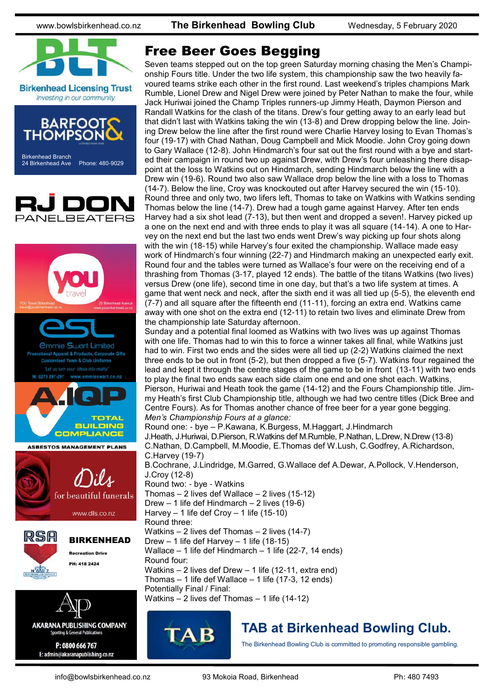www.bowlsbirkenhead.co.nz **The Birkenhead Bowling Club** Wednesday, 5 February 2020



**Birkenhead Licensing Trust** Investing in our community







#### Free Beer Goes Begging

Seven teams stepped out on the top green Saturday morning chasing the Men's Championship Fours title. Under the two life system, this championship saw the two heavily favoured teams strike each other in the first round. Last weekend's triples champions Mark Rumble, Lionel Drew and Nigel Drew were joined by Peter Nathan to make the four, while Jack Huriwai joined the Champ Triples runners-up Jimmy Heath, Daymon Pierson and Randall Watkins for the clash of the titans. Drew's four getting away to an early lead but that didn't last with Watkins taking the win (13-8) and Drew dropping below the line. Joining Drew below the line after the first round were Charlie Harvey losing to Evan Thomas's four (19-17) with Chad Nathan, Doug Campbell and Mick Moodie. John Croy going down to Gary Wallace (12-8). John Hindmarch's four sat out the first round with a bye and started their campaign in round two up against Drew, with Drew's four unleashing there disappoint at the loss to Watkins out on Hindmarch, sending Hindmarch below the line with a Drew win (19-6). Round two also saw Wallace drop below the line with a loss to Thomas (14-7). Below the line, Croy was knockouted out after Harvey secured the win (15-10). Round three and only two, two lifers left, Thomas to take on Watkins with Watkins sending Thomas below the line (14-7). Drew had a tough game against Harvey. After ten ends Harvey had a six shot lead (7-13), but then went and dropped a seven!. Harvey picked up a one on the next end and with three ends to play it was all square (14-14). A one to Harvey on the next end but the last two ends went Drew's way picking up four shots along with the win (18-15) while Harvey's four exited the championship. Wallace made easy work of Hindmarch's four winning (22-7) and Hindmarch making an unexpected early exit. Round four and the tables were turned as Wallace's four were on the receiving end of a thrashing from Thomas (3-17, played 12 ends). The battle of the titans Watkins (two lives) versus Drew (one life), second time in one day, but that's a two life system at times. A game that went neck and neck, after the sixth end it was all tied up (5-5), the eleventh end (7-7) and all square after the fifteenth end (11-11), forcing an extra end. Watkins came away with one shot on the extra end (12-11) to retain two lives and eliminate Drew from the championship late Saturday afternoon.

Sunday and a potential final loomed as Watkins with two lives was up against Thomas with one life. Thomas had to win this to force a winner takes all final, while Watkins just had to win. First two ends and the sides were all tied up (2-2) Watkins claimed the next three ends to be out in front (5-2), but then dropped a five (5-7). Watkins four regained the lead and kept it through the centre stages of the game to be in front (13-11) with two ends to play the final two ends saw each side claim one end and one shot each. Watkins, Pierson, Huriwai and Heath took the game (14-12) and the Fours Championship title. Jimmy Heath's first Club Championship title, although we had two centre titles (Dick Bree and Centre Fours). As for Thomas another chance of free beer for a year gone begging. *Men's Championship Fours at a glance:*

Round one: - bye – P.Kawana, K.Burgess, M.Haggart, J.Hindmarch J.Heath, J.Huriwai, D.Pierson, R.Watkins def M.Rumble, P.Nathan, L.Drew, N.Drew (13-8) C.Nathan, D.Campbell, M.Moodie, E.Thomas def W.Lush, C.Godfrey, A.Richardson, C.Harvey (19-7)

B.Cochrane, J.Lindridge, M.Garred, G.Wallace def A.Dewar, A.Pollock, V.Henderson, J.Croy (12-8)

Round two: - bye - Watkins Thomas  $-2$  lives def Wallace  $-2$  lives (15-12) Drew – 1 life def Hindmarch – 2 lives (19-6) Harvey  $-1$  life def Croy  $-1$  life (15-10) Round three: Watkins – 2 lives def Thomas – 2 lives (14-7) Drew – 1 life def Harvey – 1 life (18-15) Wallace – 1 life def Hindmarch – 1 life (22-7, 14 ends) Round four: Watkins – 2 lives def Drew – 1 life (12-11, extra end) Thomas  $-1$  life def Wallace  $-1$  life (17-3, 12 ends) Potentially Final / Final: Watkins – 2 lives def Thomas – 1 life (14-12)



### **TAB at Birkenhead Bowling Club.**

The Birkenhead Bowling Club is committed to promoting responsible gambling.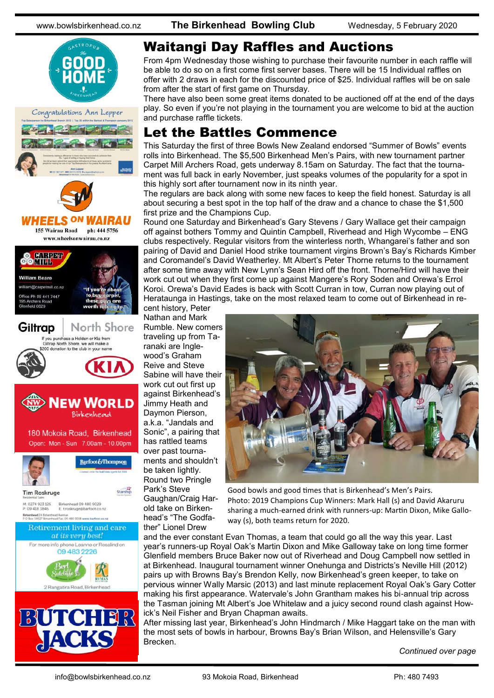www.bowlsbirkenhead.co.nz **The Birkenhead Bowling Club** Wednesday, 5 February 2020







155 Wairau Road ph: 444 5756 www.wheelsonwairau.co.nz









### Waitangi Day Raffles and Auctions

From 4pm Wednesday those wishing to purchase their favourite number in each raffle will be able to do so on a first come first server bases. There will be 15 Individual raffles on offer with 2 draws in each for the discounted price of \$25. Individual raffles will be on sale from after the start of first game on Thursday.

There have also been some great items donated to be auctioned off at the end of the days play. So even if you're not playing in the tournament you are welcome to bid at the auction and purchase raffle tickets.

### Let the Battles Commence

This Saturday the first of three Bowls New Zealand endorsed "Summer of Bowls" events rolls into Birkenhead. The \$5,500 Birkenhead Men's Pairs, with new tournament partner Carpet Mill Archers Road, gets underway 8.15am on Saturday. The fact that the tournament was full back in early November, just speaks volumes of the popularity for a spot in this highly sort after tournament now in its ninth year.

The regulars are back along with some new faces to keep the field honest. Saturday is all about securing a best spot in the top half of the draw and a chance to chase the \$1,500 first prize and the Champions Cup.

Round one Saturday and Birkenhead's Gary Stevens / Gary Wallace get their campaign off against bothers Tommy and Quintin Campbell, Riverhead and High Wycombe – ENG clubs respectively. Regular visitors from the winterless north, Whangarei's father and son pairing of David and Daniel Hood strike tournament virgins Brown's Bay's Richards Kimber and Coromandel's David Weatherley. Mt Albert's Peter Thorne returns to the tournament after some time away with New Lynn's Sean Hird off the front. Thorne/Hird will have their work cut out when they first come up against Mangere's Rory Soden and Orewa's Errol Koroi. Orewa's David Eades is back with Scott Curran in tow, Curran now playing out of Herataunga in Hastings, take on the most relaxed team to come out of Birkenhead in re-

cent history, Peter Nathan and Mark Rumble. New comers traveling up from Taranaki are Inglewood's Graham Reive and Steve Sabine will have their work cut out first up against Birkenhead's Jimmy Heath and Daymon Pierson, a.k.a. "Jandals and Sonic", a pairing that has rattled teams over past tournaments and shouldn't be taken lightly. Round two Pringle Park's Steve Gaughan/Craig Harold take on Birkenhead's "The Godfather" Lionel Drew



Good bowls and good times that is Birkenhead's Men's Pairs. Photo: 2019 Champions Cup Winners: Mark Hall (s) and David Akaruru sharing a much-earned drink with runners-up: Martin Dixon, Mike Galloway (s), both teams return for 2020.

and the ever constant Evan Thomas, a team that could go all the way this year. Last year's runners-up Royal Oak's Martin Dixon and Mike Galloway take on long time former Glenfield members Bruce Baker now out of Riverhead and Doug Campbell now settled in at Birkenhead. Inaugural tournament winner Onehunga and Districts's Neville Hill (2012) pairs up with Browns Bay's Brendon Kelly, now Birkenhead's green keeper, to take on pervious winner Wally Marsic (2013) and last minute replacement Royal Oak's Gary Cotter making his first appearance. Watervale's John Grantham makes his bi-annual trip across the Tasman joining Mt Albert's Joe Whitelaw and a juicy second round clash against Howick's Neil Fisher and Bryan Chapman awaits.

After missing last year, Birkenhead's John Hindmarch / Mike Haggart take on the man with the most sets of bowls in harbour, Browns Bay's Brian Wilson, and Helensville's Gary Brecken.

*Continued over page*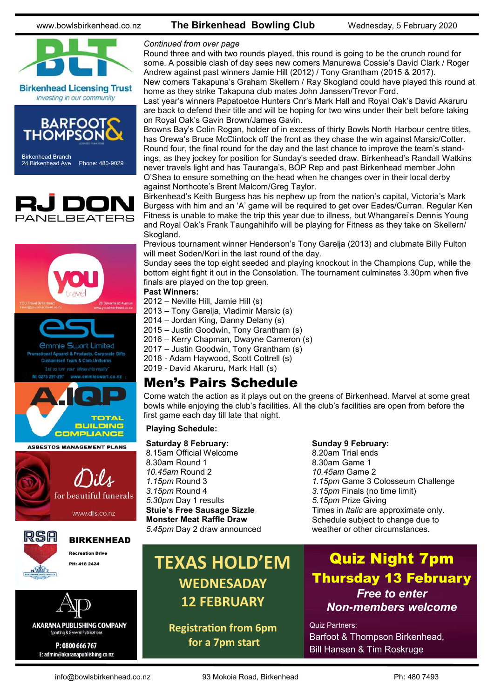

**Birkenhead Licensing Trust** Investing in our community



24 Birkenhead Ave Phone: 480-9029





P: 0800 666 767 E: admin@akaranapublishing.co.nz

#### www.bowlsbirkenhead.co.nz **The Birkenhead Bowling Club** Wednesday, 5 February 2020

#### *Continued from over page*

Round three and with two rounds played, this round is going to be the crunch round for some. A possible clash of day sees new comers Manurewa Cossie's David Clark / Roger Andrew against past winners Jamie Hill (2012) / Tony Grantham (2015 & 2017). New comers Takapuna's Graham Skellern / Ray Skogland could have played this round at

home as they strike Takapuna club mates John Janssen/Trevor Ford. Last year's winners Papatoetoe Hunters Cnr's Mark Hall and Royal Oak's David Akaruru

are back to defend their title and will be hoping for two wins under their belt before taking on Royal Oak's Gavin Brown/James Gavin.

Browns Bay's Colin Rogan, holder of in excess of thirty Bowls North Harbour centre titles, has Orewa's Bruce McClintock off the front as they chase the win against Marsic/Cotter. Round four, the final round for the day and the last chance to improve the team's standings, as they jockey for position for Sunday's seeded draw. Birkenhead's Randall Watkins never travels light and has Tauranga's, BOP Rep and past Birkenhead member John O'Shea to ensure something on the head when he changes over in their local derby against Northcote's Brent Malcom/Greg Taylor.

Birkenhead's Keith Burgess has his nephew up from the nation's capital, Victoria's Mark Burgess with him and an 'A' game will be required to get over Eades/Curran. Regular Ken Fitness is unable to make the trip this year due to illness, but Whangarei's Dennis Young and Royal Oak's Frank Taungahihifo will be playing for Fitness as they take on Skellern/ Skogland.

Previous tournament winner Henderson's Tony Garelja (2013) and clubmate Billy Fulton will meet Soden/Kori in the last round of the day.

Sunday sees the top eight seeded and playing knockout in the Champions Cup, while the bottom eight fight it out in the Consolation. The tournament culminates 3.30pm when five finals are played on the top green.

#### **Past Winners:**

2012 – Neville Hill, Jamie Hill (s)

2013 – Tony Garelja, Vladimir Marsic (s)

2014 – Jordan King, Danny Delany (s)

2015 – Justin Goodwin, Tony Grantham (s)

2016 – Kerry Chapman, Dwayne Cameron (s)

2017 – Justin Goodwin, Tony Grantham (s)

2018 - Adam Haywood, Scott Cottrell (s)

2019 - David Akaruru, Mark Hall (s)

#### Men's Pairs Schedule

Come watch the action as it plays out on the greens of Birkenhead. Marvel at some great bowls while enjoying the club's facilities. All the club's facilities are open from before the first game each day till late that night.

#### **Playing Schedule:**

**Saturday 8 February:** 8.15am Official Welcome 8.30am Round 1 *10.45am* Round 2 *1.15pm* Round 3 *3.15pm* Round 4 *5.30pm* Day 1 results **Stuie's Free Sausage Sizzle Monster Meat Raffle Draw** *5.45pm* Day 2 draw announced

#### **Sunday 9 February:**

8.20am Trial ends 8.30am Game 1 *10.45am* Game 2 *1.15pm* Game 3 Colosseum Challenge *3.15pm* Finals (no time limit) *5.15pm* Prize Giving Times in *Italic* are approximate only. Schedule subject to change due to weather or other circumstances.

## **TEXAS HOLD'EM WEDNESADAY 12 FEBRUARY**

**Registration from 6pm for a 7pm start**

### Quiz Night 7pm Thursday 13 February *Free to enter Non-members welcome*

Quiz Partners: Barfoot & Thompson Birkenhead, Bill Hansen & Tim Roskruge